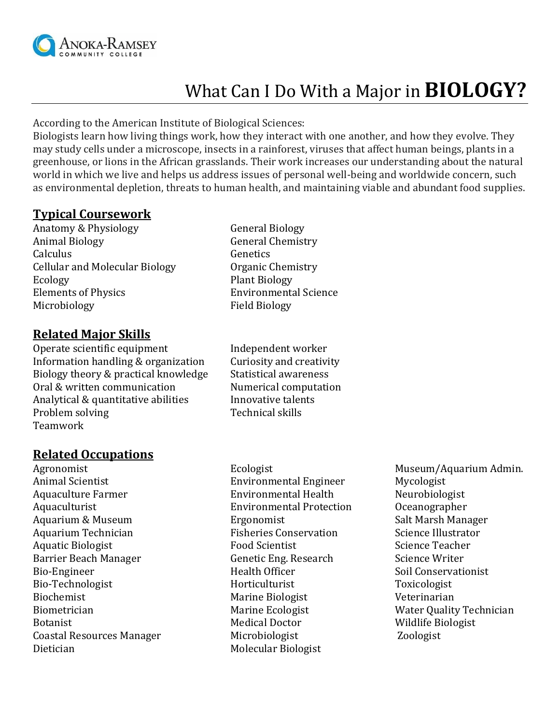

# What Can I Do With a Major in **BIOLOGY?**

According to the American Institute of Biological Sciences:

Biologists learn how living things work, how they interact with one another, and how they evolve. They may study cells under a microscope, insects in a rainforest, viruses that affect human beings, plants in a greenhouse, or lions in the African grasslands. Their work increases our understanding about the natural world in which we live and helps us address issues of personal well-being and worldwide concern, such as environmental depletion, threats to human health, and maintaining viable and abundant food supplies.

# **Typical Coursework**

Anatomy & Physiology General Biology Animal Biology **General Chemistry** Calculus Genetics Cellular and Molecular Biology **Organic Chemistry** Ecology Plant Biology Elements of Physics Environmental Science Microbiology **Field Biology** 

# **Related Major Skills**

Operate scientific equipment Independent worker Information handling & organization Curiosity and creativity Biology theory & practical knowledge Statistical awareness Oral & written communication Numerical computation Analytical & quantitative abilities **Innovative talents** Problem solving Technical skills Teamwork

## **Related Occupations**

Agronomist Ecologist Ecologist Museum/Aquarium Admin. Animal Scientist Environmental Engineer Mycologist Aquaculture Farmer Farmer Environmental Health Neurobiologist Aquaculturist Environmental Protection Oceanographer Aquarium & Museum The Salt Marsh Manager Ergonomist Controller Salt Marsh Manager Aquarium Technician Technician Fisheries Conservation Science Illustrator Aquatic Biologist **Food Scientist** Food Scientist Science Teacher Barrier Beach Manager Genetic Eng. Research Science Writer Bio-Engineer **Health Officer** Soil Conservationist Bio-Technologist Horticulturist Toxicologist Biochemist Marine Biologist Veterinarian Biometrician **Marine Ecologist** Marine Ecologist Water Quality Technician Botanist **Medical Doctor** Medical Doctor **Medical Doctor** Mildlife Biologist Coastal Resources Manager Microbiologist Zoologist Dietician Molecular Biologist